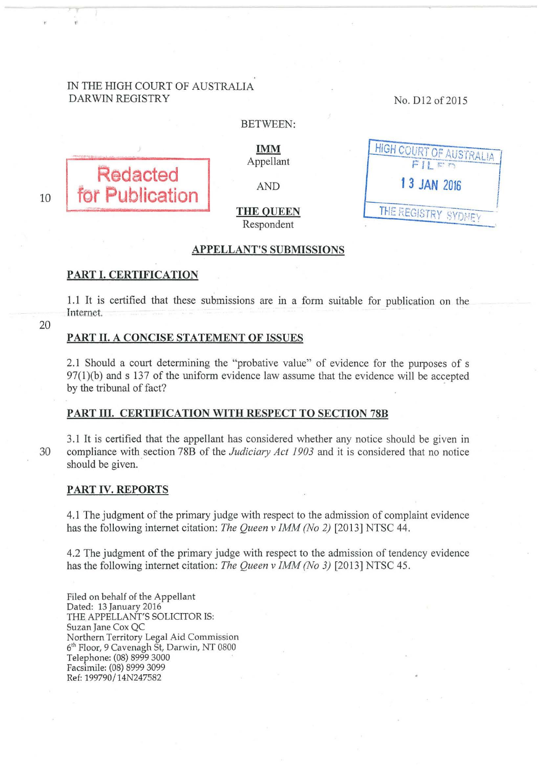# IN THE HIGH COURT OF AUSTRALIA DARWIN REGISTRY

No. Dl2 of2015



IMM Appellant

BETWEEN:

AND

## THE QUEEN Respondent

| <b>HIGH COURT OF AUSTRALIA</b><br>$FI \in r$ |  |
|----------------------------------------------|--|
| 13 JAN 2016                                  |  |
| THE REGISTRY SYDNEY                          |  |

# APPELLANT'S SUBMISSIONS

#### PART I. CERTIFICATION

1.1 It is certified that these submissions are in a form suitable for publication on the Internet.

20

10

## PART II. A CONCISE STATEMENT OF ISSUES

2.1 Should a court determining the "probative value" of evidence for the purposes of s 97(1)(b) and s 137 of the uniform evidence law assume that the evidence will be accepted by the tribunal of fact?

### PART III. CERTIFICATION WITH RESPECT TO SECTION 78B

3.1 It is certified that the appellant has considered whether any notice should be given in 30 compliance with section 78B of the *Judiciary Act 1903* and it is considered that no notice should be given.

#### PART IV. REPORTS

4.1 The judgment of the primary judge with respect to the admission of complaint evidence has the following internet citation: *The Queen v IMM (No 2)* [2013] NTSC 44.

4.2 The judgment of the primary judge with respect to the admission of tendency evidence has the following internet citation: *The Queen v IMM (No 3)* [2013] NTSC 45.

Filed on behalf of the Appellant Dated: 13 January 2016 THE APPELLANT'S SOLICITOR IS: Suzan Jane Cox QC Northern Territory Legal Aid Commission 6<sup>th</sup> Floor, 9 Cavenagh St, Darwin, NT 0800 Telephone: (08) 8999 3000 Facsimile: (08) 8999 3099 Ref: 199790/14N247582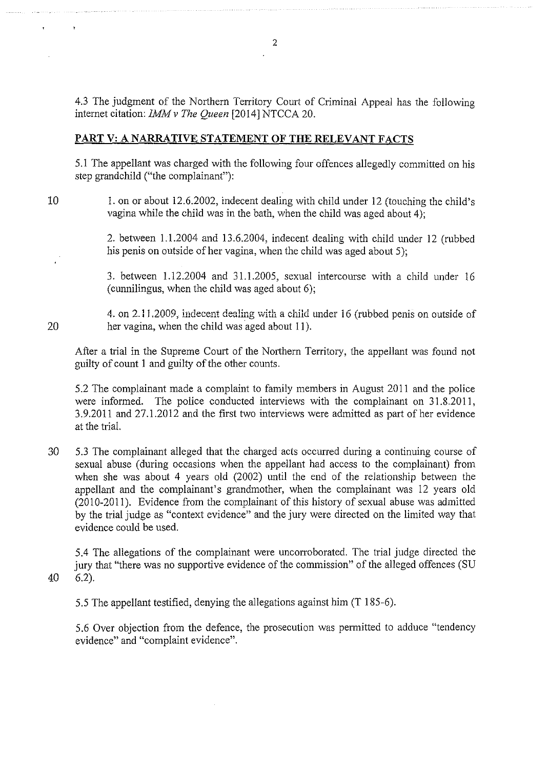4.3 The judgment of the Northern Territory Court of Criminal Appeal has the following internet citation: *IMMv The Queen* [2014] NTCCA 20.

# **PART V: A NARRATIVE STATEMENT OF THE RELEVANT FACTS**

5.1 The appellant was charged with the following four offences allegedly committed on his step grandchild ("the complainant"):

10 1. on or about 12.6.2002, indecent dealing with child under 12 (touching the child's vagina while the child was in the bath, when the child was aged about 4);

> 2. between 1.1.2004 and 13.6.2004, indecent dealing with child under 12 (rubbed his penis on outside of her vagina, when the child was aged about 5);

> 3. between 1.12.2004 and 31.1.2005, sexual intercourse with a child under 16 (cunnilingus, when the child was aged about 6);

4. on 2.11, 2009, indecent dealing with a child under 16 (rubbed penis on outside of 20 her vagina, when the child was aged about II).

After a trial in the Supreme Court of the Northern Territory, the appellant was found not guilty of count I and guilty of the other counts.

5.2 The complainant made a complaint to family members in August 2011 and the police were informed. The police conducted interviews with the complainant on 31.8.2011, 3.9.2011 and 27.1.2012 and the first two interviews were admitted as part of her evidence at the trial.

30 5.3 The complainant alleged that the charged acts occurred during a continuing course of sexual abuse (during occasions when the appellant had access to the complainant) from when she was about 4 years old (2002) until the end of the relationship between the appellant and the complainant's grandmother, when the complainant was 12 years old (2010-2011). Evidence from the complainant of this history of sexual abuse was admitted by the trial judge as "context evidence" and the jury were directed on the limited way that evidence could be used.

5.4 The allegations of the complainant were uncorroborated. The trial judge directed the jury that "there was no supportive evidence of the commission" of the alleged offences (SU 40 6.2).

5.5 The appellant testified, denying the allegations against him (T 185-6).

5.6 Over objection from the defence, the prosecution was permitted to adduce "tendency evidence" and "complaint evidence".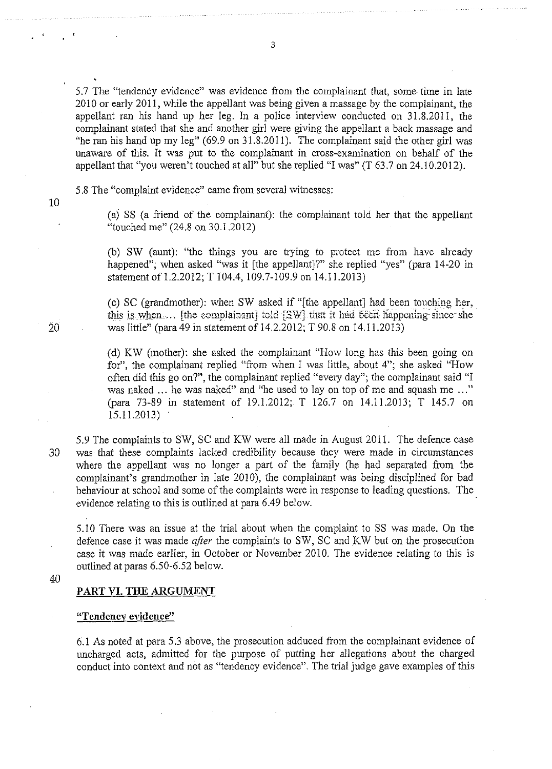5.7 The "tendency evidence" was evidence from the complainant that, some time in late 2010 or early 2011, while the appellant was being given a massage by the complainant, the appellant ran his hand up her leg. In a police interview conducted on 31.8.2011, the complainant stated that she and another girl were giving the appellant a back massage and "he ran his hand up my leg" (69.9 on 31.8.2011). The complainant said the other girl was unaware of this. It was put to the complainant in cross-examination on behalf of the appellant that "you weren't touched at all" but she replied "I was" (T 63.7 on 24.10.2012).

5.8 The "complaint evidence" came from several witnesses:

10

(a) SS (a friend of the complainant): the complainant told her that the appellant "touched me" (24.8 on 30.1.2012)

(b) SW (aunt): "the things you are trying to protect me from have already happened"; when asked "was it [the appellant]?" she replied "yes" (para 14-20 in statement of 1.2.2012; T 104.4, 109.7-109.9 on 14.11.2013)

(c) SC (grandmother): when SW asked if "[the appellant] had been touching her, this is when, Ithe complainant] told [SW] that it had been happening since she 20 was little" (para 49 in statement of 14.2.2012; T 90.8 on 14.1 1.2013)

> (d) KW (mother): she asked the complainant "How long has this been going on for", the complainant replied "from when I was little, about 4"; she asked "How often did this go on?", the complainant replied "every day"; the complainant said "I was naked ... he was naked" and "he used to lay on top of me and squash me ... " (para 73-89 in statement of 19.1.2012; T 126.7 on 14.11.2013; T 145.7 on 15.11.2013)

5.9 The complaints to SW, SC and KW were all made in August 2011. The defence case 30 was that these complaints lacked credibility because they were made in circumstances where the appellant was no longer a part of the family (he had separated from the complainant's grandmother in late 2010), the complainant was being disciplined for bad behaviour at school and some of the complaints were in response to leading questions. The evidence relating to this is outlined at para 6.49 below.

5.10 There was an issue at the trial about when the complaint to SS was made. On the defence case it was made *after* the complaints to SW, SC and KW but on the prosecution case it was made earlier, in October or November 2010. The evidence relating to this is outlined at paras 6.50-6.52 below.

40

#### PART VI. THE ARGUMENT

### **"Tendency evidence"**

6.1 As noted at para 5.3 above, the prosecution adduced from the complainant evidence of uncharged acts, admitted for the purpose of putting her allegations about the charged conduct into context and not as "tendency evidence". The trial judge gave examples of this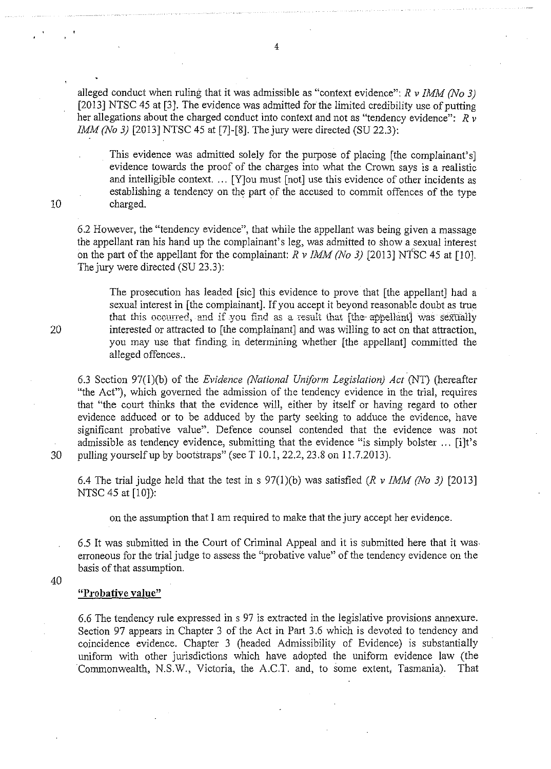alleged conduct when ruling that it was admissible as "context evidence": *R v IMM (No 3)*  [2013] NTSC 45 at [3]. The evidence was admitted for the limited credibility use of putting her allegations about the charged conduct into context and not as "tendency evidence": *R*  $\bar{v}$ *IMM (No 3)* [2013] NTSC 45 at [7]-[8]. The jury were directed (SU 22.3):

This evidence was admitted solely for the purpose of placing [the complainant's] evidence towards the proof of the charges into what the Crown says is a realistic and intelligible context. ... [Y)ou must [not] use this evidence of other incidents as establishing a tendency on the part of the accused to commit offences of the type 10 charged.

6.2 However, the "tendency evidence", that while the appellant was being given a massage the appellant ran his hand up the complainant's leg, was admitted to show a sexual interest on the part of the appellant for the complainant:  $R \nu$  *IMM (No 3)* [2013] NTSC 45 at [10]. The jury were directed (SU 23.3):

The prosecution has leaded [sic] this evidence to prove that [the appellant] had a sexual interest in [the complainant]. If you accept it beyond reasonable doubt as true that this occurred, and if you find as a result that [the-appellant] was sexually 20 interested or attracted to [the complainant] and was willing to act on that attraction, you may use that finding in determining whether [the appellant] committed the alleged offences ..

6.3 Section 97(1 )(b) of the *Evidence (National Uniform Legislation) Act* (NT) (hereafter "the Act"), which governed the admission of the tendency evidence in the trial, requires that "the court thinks that the evidence will, either by itself or having regard to other evidence adduced or to be adduced by the party seeking to adduce the evidence, have significant probative value". Defence counsel contended that the evidence was not admissible as tendency evidence, submitting that the evidence "is simply bolster ... [i]t's 30 pulling yourself up by bootstraps" (see T 10.1, 22.2, 23.8 on 1 1.7.2013).

6.4 The trial judge held that the test in s  $97(1)(b)$  was satisfied  $(R \nu IMM/No 3)$  [2013] NTSC 45 at [10]):

on the assumption that I am required to make that the jury accept her evidence.

6.5 It was submitted in the Court of Criminal Appeal and it is submitted here that it was erroneous for the trial judge to assess the "probative value" of the tendency evidence on the basis of that assumption.

40

## **"Probative value"**

6.6 The tendency rule expressed in s 97 is extracted in the legislative provisions annexure. Section 97 appears in Chapter 3 of the Act in Part 3.6 which is devoted to tendency and coincidence evidence. Chapter 3 (headed Admissibility of Evidence) is substantially uniform with other jurisdictions which have adopted the uniform evidence law (the Commonwealth, N.S.W., Victoria, the A.C.T. and, to some extent, Tasmania). That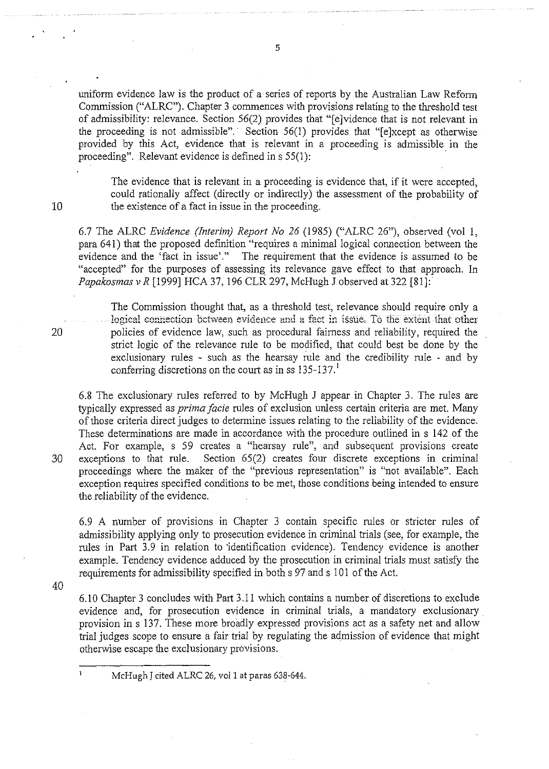5

uniform evidence law is the product of a series of reports by the Australian Law Reform Commission ("ALRC"). Chapter 3 commences with provisions relating to the threshold test of admissibility: relevance. Section  $56(2)$  provides that "[e]vidence that is not relevant in the proceeding is not admissible". Section  $56(1)$  provides that "[e]xcept as otherwise provided by this Act, evidence that is relevant in a proceeding is admissible in the proceeding". Relevant evidence is defined in  $s$  55(1):

The evidence that is relevant in a proceeding is evidence that, if it were accepted, could rationally affect (directly or indirectly) the assessment of the probability of the existence of a fact in issue in the proceeding.

6.7 The ALRC *Evidence (Interim) Report No 26* (1985) ("ALRC 26"), observed (vol I, para 64 I) that the proposed definition "requires a minimal logical connection between the evidence and the 'fact in issue'." The requirement that the evidence is assumed to be "accepted" for the purposes of assessing its relevance gave effect to that approach. In *Papakosmas v R* [1999] HCA 37, 196 CLR 297, McHugh J observed at 322 [81]:

The Commission thought that, as a threshold test, relevance should require only a logical connection between evidence and a fact in issue. To the extent that other 20 policies of evidence law, such as procedural fairness and reliability, required the strict logic of the relevance rule to be modified, that could best be done by the exclusionary rules - such as the hearsay rule and the credibility rule - and by conferring discretions on the court as in ss 135-137.

6.8 The exclusionary rules referred to by McHugh J appear in Chapter 3. The rules are typically expressed as *prima facie* rules of exclusion unless certain criteria are met. Many of those criteria direct judges to determine issues relating to the reliability of the evidence. These determinations are made in accordance with the procedure outlined in s I 42 of the Act. For example, s 59 creates a "hearsay rule", and subsequent provisions create 30 exceptions to that rule. Section 65(2) creates four discrete exceptions in criminal proceedings where the maker of the "previous representation" is "not available". Each exception requires specified conditions to be met, those conditions being intended to ensure the reliability of the evidence.

6.9 A number of provisions in Chapter 3 contain specific rules or stricter rules of admissibility applying only to prosecution evidence in criminal trials (see, for example, the rules in Part 3.9 in relation to identification evidence). Tendency evidence is another example. Tendency evidence adduced by the prosecution in criminal trials must satisfy the requirements for admissibility specified in both s 97 and s 101 of the Act.

40

 $\mathbf{1}$ 

6.10 Chapter 3 concludes with Part 3 .II which contains a number of discretions to exclude evidence and, for prosecution evidence in criminal trials, a mandatory exclusionary provision ins 137. These more broadly expressed provisions act as a safety net and allow trial judges scope to ensure a fair trial by regulating the admission of evidence that might otherwise escape the exclusionary provisions.

McHugh J cited ALRC 26, vol 1 at paras 638-644.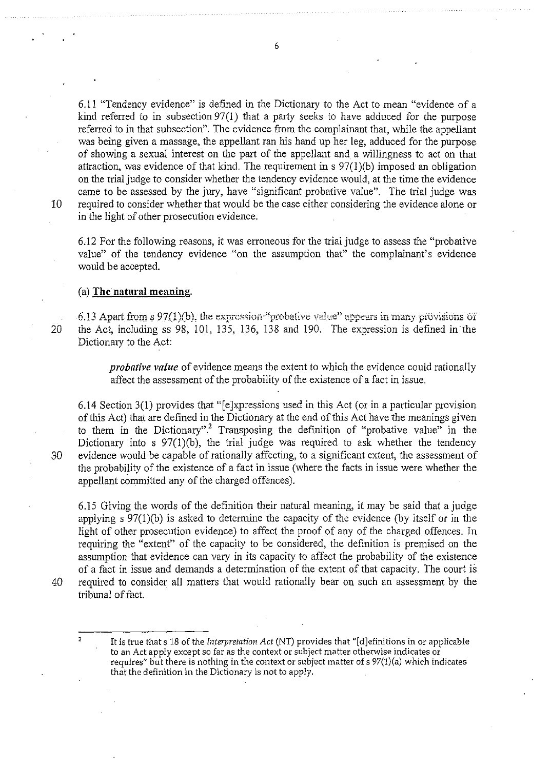6.11 "Tendency evidence" is defined in the Dictionary to the Act to mean "evidence of a kind referred to in subsection 97(1) that a party seeks to have adduced for the purpose referred to in that subsection". The evidence from the complainant that, while the appellant was being given a massage, the appellant ran his hand up her leg, adduced for the purpose of showing a sexual interest on the part of the appellant and a willingness to act on that attraction, was evidence of that kind. The requirement in  $s \frac{97(1)}{b}$  imposed an obligation on the trial judge to consider whether the tendency evidence would, at the time the evidence came to be assessed by the jury, have "significant probative value". The trial judge was 10 required to consider whether that would be the case either considering the evidence alone or in the light of other prosecution evidence.

6.12 For the following reasons, it was erroneous for the tria1judge to assess the "probative value" of the tendency evidence "on the assumption that" the complainant's evidence would be accepted.

## (a) The natural meaning.

**6.13 Apart from s 97(1)(b), the expression-"probative value" appears in many provisions of** 20 the Act, including ss 98, 101, 135, 136, 138 and 190. The expression is defined in the Dictionary to the Act:

> *probative value* of evidence means the extent to which the evidence could rationally affect the assessment of the probability of the existence of a fact in issue.

6.14 Section 3(1) provides that "[e]xpressions used in this Act (or in a particular provision of this Act) that are defined in the Dictionary at the end of this Act have the meanings given to them in the Dictionary".<sup>2</sup> Transposing the definition of "probative value" in the Dictionary into s  $97(1)(b)$ , the trial judge was required to ask whether the tendency 30 evidence would be capable of rationally affecting, to a significant extent, the assessment of the probability of the existence of a fact in issue (where the facts in issue were whether the appellant committed any of the charged offences).

6.15 Giving the words of the definition their natural meaning, it may be said that a judge applying s 97(1)(b) is asked to determine the capacity of the evidence (by itself or in the light of other prosecution evidence) to affect the proof of any of the charged offences. In requiring the "extent" of the capacity to be considered, the definition is premised on the assumption that evidence can vary in its capacity to affect the probability of the existence of a fact in issue and demands a determination of the extent of that capacity. The court is 40 required to consider all matters that would rationally bear on such an assessment by the tribunal of fact.

It is true that s 18 of the *Interpretation Act* (NT) provides that "[d]efinitions in or applicable to an Act apply except so far as the context or subject matter otherwise indicates or requires" but there is nothing in the context or subject matter of s 97(1)(a) which indicates that the definition in the Dictionary is not to apply.

 $\overline{2}$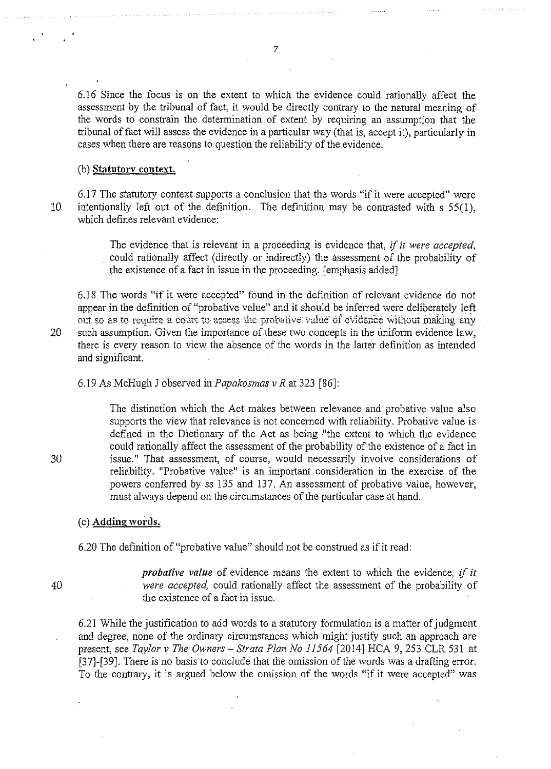6.16 Since the focus is on the extent to which the evidence could rationally affect the assessment by the tribunal of fact, it would be directly contrary to the natural meaning of the words to constrain the determination of extent by requiring an assumption that the tribunal of fact will assess the evidence in a particular way (that is, accept it), particularly in cases when there are reasons to question the reliability of the evidence.

## (b) **Statutory context.**

6.17 The statutory context supports a conclusion that the words "if it were accepted" were 10 intentionally left out of the definition. The definition may be contrasted with s 55(1), which defines relevant evidence:

> The evidence that is relevant in a proceeding is evidence that, if *it were accepted,*  could rationally affect (directly or indirectly) the assessment of the probability of the existence of a fact in issue in the proceeding. [emphasis added]

6.18 The words "if it were accepted" found in the definition of relevant evidence do not appear in the definition of "probative value" and it should be infened were deliberately left out so as to require a court to assess the probative value of evidence without making any 20 such assumption. Given the importance of these two concepts in the uniform evidence law, there is every reason to view the absence of the words in the latter definition as intended and significant.

6.19 As McHugh J observed in *Papakosmas v R* at 323 [86]:

The distinction which the Act makes between relevance and probative value also supports the view that relevance is not concerned with reliability. Probative valne is defined in the Dictionary of the Act as being "the extent to which the evidence could rationally affect the assessment of the probability of the existence of a fact in issue." That assessment, of course, would necessarily involve considerations of reliability. "Probative value" is an important consideration in the exercise of the powers conferred by ss 135 and 137. An assessment of probative value, however, must always depend on the circumstances of the particular case at hand.

### (c) **Adding words.**

6.20 The definition of "probative value" should not be construed as if it read:

40

*probative value* of evidence means the extent to which the evidence, *if it were accepted,* could rationally affect the assessment of the probability of the existence of a fact in issue.

6.21 While the justification to add words to a statutory formulation is a matter of judgment and degree, none of the ordinary circumstances which might justify such an approach are present, see *Taylor v The Owners- Strata Plan No 11564* (2014] HCA 9, 253 CLR 531 at [37]-(39]. There is no basis to conclude that the omission of the words was a drafting error. To the contrary, it is argued below the omission of the words "if it were accepted" was

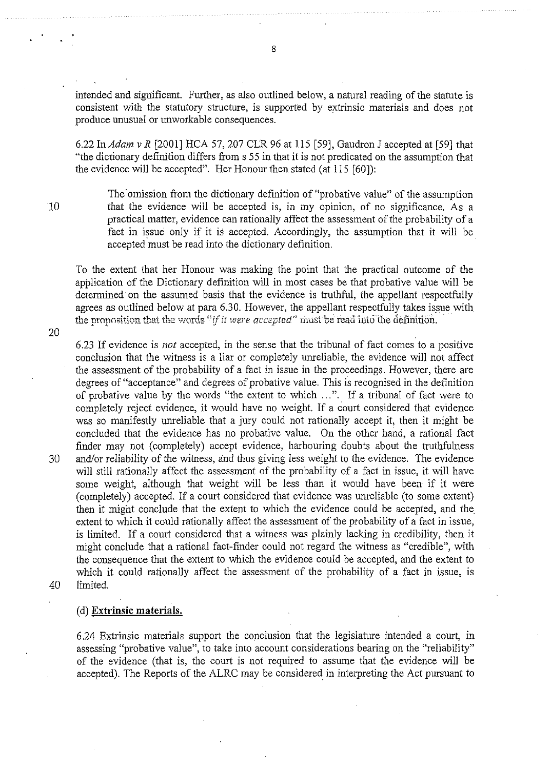intended and significant. Further, as also outlined below, a natural reading of the statute is consistent with the statutory structure, is supported by extrinsic materials and does not produce unusual or unworkable consequences.

6.22 In *Adam v R* [2001] HCA 57,207 CLR 96 at 115 [59], Gaudron J accepted at [59] that "the dictionary definition differs from s 55 in that it is not predicated on the assumption that the evidence will be accepted". Her Honour then stated (at 115 [60]):

10

20

The omission from the dictionary definition of "probative value" of the assumption that the evidence will be accepted is, in my opinion, of no significance. As a practical matter, evidence can rationally affect the assessment of the probability of a fact in issue only if it is accepted. Accordingly, the assumption that it will be accepted must be read into the dictionary definition.

To the extent that her Honour was making the point that the practical outcome of the application of the Dictionary definition will in most cases be that probative value will be determined on the assumed basis that the evidence is truthful, the appellant respectfully agrees as outlined below at para 6.30. However, the appellant respectfully takes issue with **the proposition that the words "if it were accepted" must be read into the definition.** 

6.23 If evidence is *not* accepted, in the sense that the tribunal of fact comes to a positive conclusion that the witness is a liar or completely unreliable, the evidence will not affect the assessment of the probability of a fact in issue in the proceedings. However, there are degrees of "acceptance" and degrees of probative value. This is recognised in the definition of probative value by the words "the extent to which ...". If a tribunal of fact were to completely reject evidence, it would have no weight. If a court considered that evidence was so manifestly unreliable that a jury could not rationally accept it, then it might be concluded that the evidence has no probative value. On the other hand, a rational fact finder may not (completely) accept evidence, harbouring doubts about the truthfulness 30 and/or reliability of the witness, and thus giving less weight to the evidence. The evidence will still rationally affect the assessment of the probability of a fact in issue, it will have some weight, although that weight will be less than it would have been if it were (completely) accepted. If a court considered that evidence was unreliable (to some extent) then it might conclude that the extent to which the evidence could be accepted, and the extent to which it could rationally affect the assessment of the probability of a fact in issue, is limited. If a court considered that a witness was plainly lacking in credibility, then it might conclude that a rational fact-finder could not regard the witness as "credible", with the consequence that the extent to which the evidence could be accepted, and the extent to which it could rationally affect the assessment of the probability of a fact in issue, is 40 limited.

# (d) **Extrinsic materials.**

6.24 Extrinsic materials support the conclusion that the legislature intended a court, in assessing "probative value", to take into account considerations bearing on the "reliability" of the evidence (that is, the court is not required to assume that the evidence will be accepted). The Reports of the ALRC may be considered in interpreting the Act pursuant to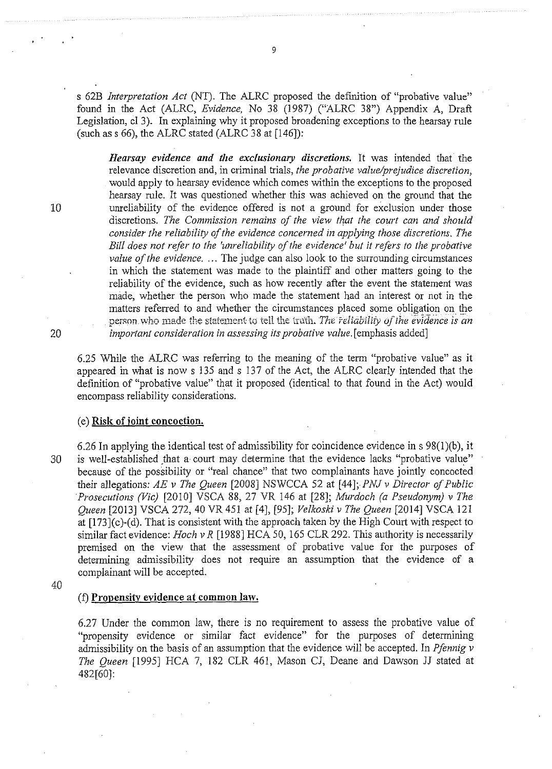*s* 62B *Interpretation Act* (NT). The ALRC proposed the definition of "probative value" found in the Act (ALRC, *Evidence,* No 38 (1987) ("ALRC 38") Appendix A, Draft Legislation, cl 3). In explaining why it proposed broadening exceptions to the hearsay rule (such as  $s$  66), the ALRC stated (ALRC 38 at [146]):

*Hearsay evidence and the exclusionary discretions.* It was intended that the relevance discretion and, in criminal trials, *the probative value/prejudice discretion,*  would apply to hearsay evidence which comes within the exceptions to the proposed hearsay rule. It was questioned whether this was achieved on the ground that the 10 unreliability of the evidence offered is not a ground for exclusion under those discretions. *The Commission remains of the view that the court can and should consider the reliability of the evidence concerned in applying those discretions. The Bill does not refer to the 'unreliability of the evidence' but it refers to the probative value of the evidence.* ... The judge can also look to the surrounding circumstances in which the statement was made to the plaintiff and other matters going to the reliability of the evidence, such as how recently after the event the statement was made, whether the person who made the statement had an interest or not in the matters referred to and whether the circumstances placed some obligation on the **person who made the statement to tell the truth. The reliability of the evidence is an** 20 *important consideration in assessing its probative value.* [emphasis added]

6.25 While the ALRC was referring to the meaning of the term "probative value" as it appeared in what is now s 135 and *s* 137 of the Act, the ALRC clearly intended that the definition of "probative value" that it proposed (identical to that found in the Act) would encompass reliability considerations.

### (e) **Risk of joint concoction.**

6.26 In applying the identical test of admissibility for coincidence evidence in  $s\ 98(1)(b)$ , it 30 is well-established that a court may determine that the evidence lacks "probative value" because of the possibility or "real chance" that two complainants have jointly concocted their allegations: *AE v The Queen* [2008] NSWCCA 52 at [44]; *PNJ v Director of Public Prosecutions (Vic)* [2010] VSCA 88, 27 VR 146 at [28]; *Murdoch (a Pseudonym) v The Queen* [2013] VSCA 272, 40 VR 451 at [4], [95]; *Velkoski v The Queen* [2014] VSCA 121 at [173](c)-(d). That is consistent with the approach taken by the High Court with respect to similar fact evidence: *Hoch v R* [1988] HCA 50, 165 CLR 292. This authority is necessarily premised on the view that the assessment of probative value for the purposes of determining admissibility does not require an assumption that the evidence of a complainant will be accepted.

40

#### (f) **Propensity evidence at common law.**

6.27 Under the common law, there is no requirement to assess the probative value of "propensity evidence or similar fact evidence" for the purposes of determining admissibility on the basis of an assumption that the evidence will be accepted. In *Pfennig v The Queen* [1995] HCA 7, 182 CLR 461, Mason CJ, Deane and Dawson *11* stated at 482[60]: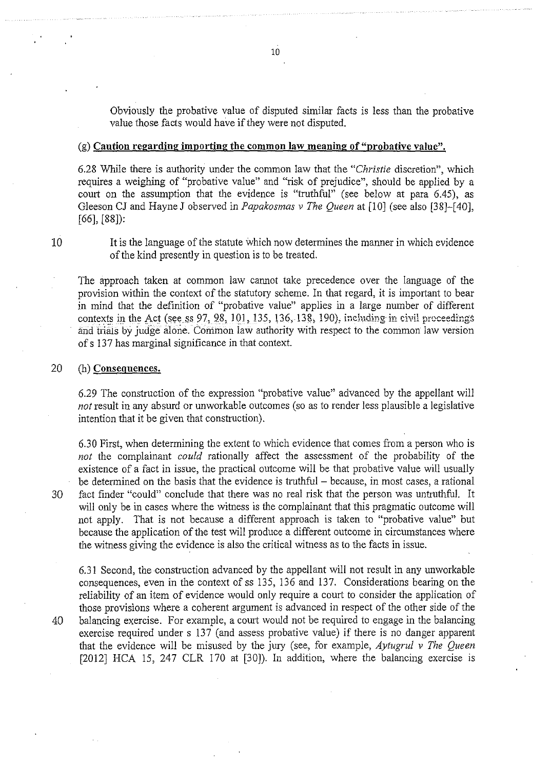Obviously the probative value of disputed similar facts is less than the probative value those facts would have if they were not disputed.

### (g) **Caution regarding importing the common law meaning of "probative value".**

6.28 While there is authority under the common law that the *"Christie* discretion", which requires a weighing of "probative value" and "risk of prejudice", should be applied by a court on the assumption that the evidence is "truthful" (see below at para 6.45), as Gleeson CJ and Hayne J observed in *Papakosmas v The Queen* at [10] (see also (38]-(40], [66], (88]):

10

It is the language of the statute which now determines the manner in which evidence of the kind presently in question is to be treated.

The approach taken at common Jaw cannot take precedence over the language of the provision within the context of the statutory scheme. In that regard, it is important to bear in mind that the definition of "probative value" applies in a large number of different contexts in the Act (see ss 97, 98, 101, 135, 136, 138, 190), including in civil proceedings and trials by Judge alone. Common law authority with respect to the common law version of s 137 has marginal significance in that context.

### 20 (h) **Consequences.**

6.29 The construction of the expression "probative value" advanced by the appellant will *not* result in any absurd or unworkable outcomes (so as to render less plausible a legislative intention that it be given that construction).

6.30 First, when determining the extent to which evidence that comes from a person who is *not* the complainant *could* rationally affect the assessment of the probability of the existence of a fact in issue, the practical outcome will be that probative value will usually be determined on the basis that the evidence is truthful – because, in most cases, a rational 30 fact finder "could" conclude that there was no real risk that the person was untruthful. It will only be in cases where the witness is the complainant that this pragmatic outcome will not apply. That is not because a different approach is taken to "probative value" but because the application of the test will produce a different outcome in circumstances where the witness giving the evidence is also the critical witness as to the facts in issue.

6.3 I Second, the construction advanced by the appellant will not result in any unworkable consequences, even in the context of ss 135, 136 and 137. Considerations bearing on the reliability of an item of evidence would only require a court to consider the application of those provisions where a coherent argument is advanced in respect of the other side of the 40 balancing exercise. For example, a court would not be required to engage in the balancing exercise required under s 137 (and assess probative value) if there is no danger apparent that the evidence will be misused by the jury (see, for example, *Aytugru/ v The Queen*  [2012] HCA 15, 247 CLR 170 at [30]). In addition, where the balancing exercise is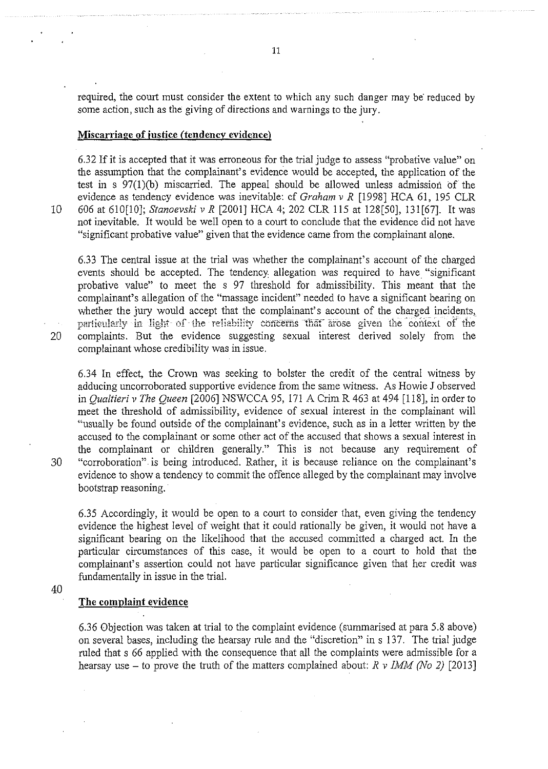required, the court must consider the extent to which any such danger may be reduced by some action, such as the giving of directions and warnings to the jury.

### **Miscarriage of justice (tendency evidence)**

6.32 If it is accepted that it was erroneous for the trial judge to assess "probative value" on the assumption that the complainant's evidence would be accepted, the application of the test in s 97(1)(b) miscarried. The appeal should be allowed unless admission of the evidence as tendency evidence was inevitable: cf *Graham v R* [1998] HCA 61, 195 CLR 10 606 at 610[10]; *Stanoevski v R* [2001] HCA 4; 202 CLR 115 at 128[50], 131 [67]. It was not inevitable. It would be well open to a court to conclude that the evidence did not have "significant probative value" given that the evidence came from the complainant alone.

6.33 The central issue at the trial was whether the complainant's account of the charged events should be accepted. The tendency allegation was required to have "significant probative value" to meet the s 97 threshold for admissibility. This meant that the complainant's allegation of the "massage incident" needed to have a significant bearing on whether the jury would accept that the complainant's account of the charged incidents, particularly in light of the reliability concerns that arose given the context of the 20 complaints. But the evidence suggesting sexual interest derived solely from the complainant whose credibility was in issue.

6.34 In effect, the Crown was seeking to bolster the credit of the central witness by adducing uncorroborated supportive evidence from the same witness. As Howie J observed in *Qualtieri v The Queen* [2006] NSWCCA 95, 171 A Crim R 463 at 494 [118], in order to meet the threshold of admissibility, evidence of sexual interest in the complainant will "usually be found outside of the complainant's evidence, such as in a letter written by the accused to the complainant or some other act of the accused that shows a sexual interest in the complainant or children generally." This is not because any requirement of 30 "corroboration". is being introduced. Rather, it is because reliance on the complainant's evidence to show a tendency to commit the offence alleged by the complainant may involve bootstrap reasoning.

6.35 Accordingly, it would be open to a court to consider that, even giving the tendency evidence the highest level of weight that it could rationally be given, it would not have a significant bearing on the likelihood that the accused committed a charged act. In the particular circumstances of this case, it would be open to a court to hold that the complainant's assertion could not have particular significance given that her credit was fundamentally in issue in the trial.

40

### **The complaint evidence**

6.36 Objection was taken at trial to the complaint evidence (summarised at para 5.8 above) on several bases, including the hearsay rule and the "discretion" in s 137. The trial judge ruled that s 66 applied with the consequence that all the complaints were admissible for a hearsay use – to prove the truth of the matters complained about:  $R v IMM (No 2)$  [2013]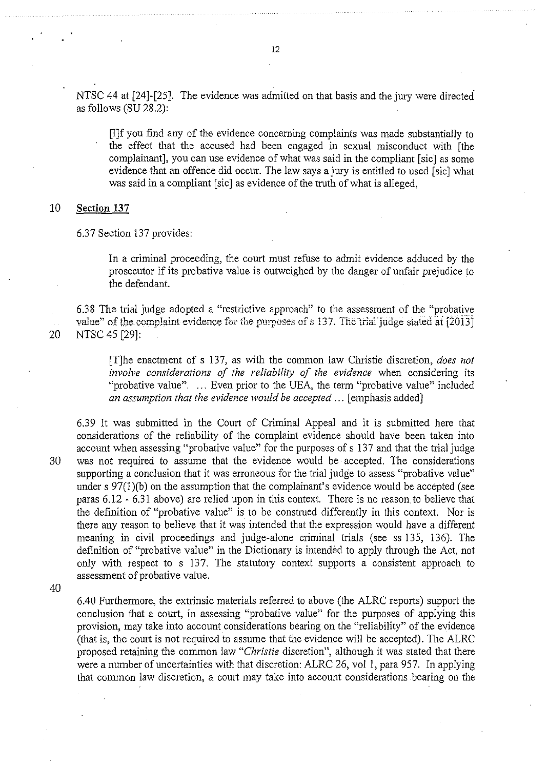NTSC 44 at [24]-[25]. The evidence was admitted on that basis and the jury were directed as follows (SU 28.2):

[I]f you find any of the evidence concerning complaints was made substantially to the effect that the accused had been engaged in sexual misconduct with [the complainant], you can use evidence of what was said in the compliant [sic] as some evidence that an offence did occur. The law says a jury is entitled to used [sic] what was said in a compliant [sic] as evidence of the truth of what is alleged,

## 10 **Section 137**

6.37 Section 137 provides:

In a criminal proceeding, the court must refuse to admit evidence adduced by the prosecutor if its probative value is outweighed by the danger of unfair prejudice to the defendant.

6.38 The trial judge adopted a "restrictive approach" to the assessment of the "probative value" of the complaint evidence for the purposes of *s* 137. The trial judge stated at [2013] 20 NTSC 45 [29]:

> [T]he enactment of s 13 7, as with the common law Christie discretion, *does not involve considerations of the reliability of the evidence* when considering its "probative value". ... Even prior to the UEA, the term "probative value" included *an assumption that the evidence would be accepted* ... [emphasis added]

6.39 It was submitted in the Court of Criminal Appeal and it is submitted here that considerations of the reliability of the complaint evidence should have been taken into account when assessing "probative value" for the purposes of s 137 and that the trial judge 30 was not required to assume that the evidence would be accepted. The considerations supporting a conclusion that it was erroneous for the trial judge to assess "probative value" under s 97(1)(b) on the assumption that the complainant's evidence would be accepted (see paras 6.12- 6.31 above) are relied upon in this context. There is no reason. to believe that the definition of "probative value" is to be construed differently in this context. Nor is there any reason to believe that it was intended that the expression would have a different meaning in civil proceedings and judge-alone criminal trials (see ss 135, 136). The definition of "probative value" in the Dictionary is intended to apply through the Act, not only with respect to s 137. The statutory context supports a consistent approach to assessment of probative value.

40

6.40 Furthermore, the extrinsic materials referred to above (the ALRC reports) support the conclusion that a court, in assessing "probative value" for the purposes of applying this provision, may take into account considerations bearing on the "reliability" of the evidence (that is, the court is not required to assume that the evidence will be accepted). The ALRC proposed retaining the connnon law *"Christie* discretion", although it was stated that there were a number of uncertainties with that discretion: ALRC 26, vol 1, para 957. In applying that connnon law discretion, a court may take into account considerations bearing on the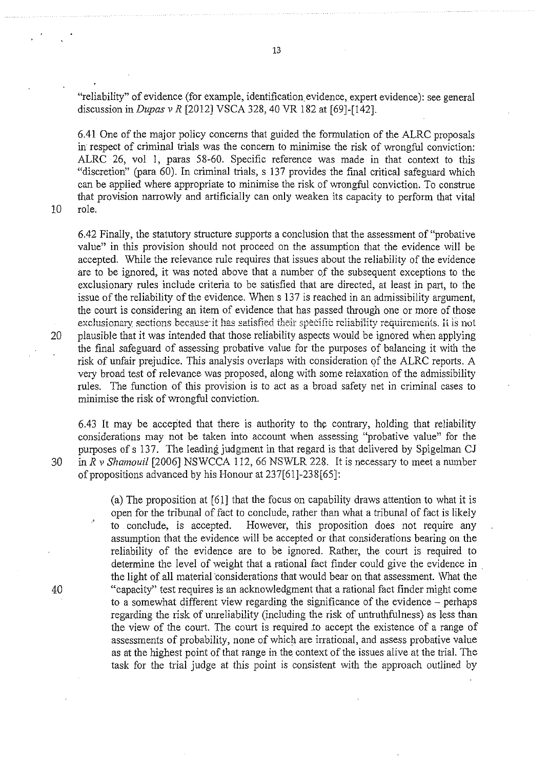"reliability" of evidence (for example, identification. evidence, expert evidence): see general discussion in *Dupas v R* [2012] VSCA 328, 40 VR !82 at [69]-[142].

6.41 One of the major policy concerns that guided the formulation of the ALRC proposals in respect of criminal trials was the concern to minimise the risk of wrongful conviction: ALRC 26, vol I, paras 58-60. Specific reference was made in that context to this "discretion" (para 60). In criminal trials, s 137 provides the final critical safeguard which can be applied where appropriate to minimise the risk of wrongful conviction. To construe that provision narrowly and artificially can only weaken its capacity to perform that vital

10 role.

6.42 Finally, the statutory structure supports a conclusion that the assessment of"probative value" in this provision should not proceed on the assumption that the evidence will be accepted. While the relevance rule requires that issues about the reliability of the evidence are to be ignored, it was noted above that a number of the subsequent exceptions to the exclusionary rules include criteria to be satisfied that are directed, at least in part, to the issue of the reliability of the evidence. When s 137 is reached in an admissibility argument, the court is considering an item of evidence that has passed through one or more of those exclusionary sections because it has satisfied their specific reliability requirements. It is not 20 plausible that it was intended that those reliability aspects would be ignored when applying the final safeguard of assessing probative value for the purposes of balancing it with the risk of unfair prejudice. This analysis overlaps with consideration of the ALRC reports. A very broad test of relevance was proposed, along with some relaxation of the admissibility rules. The function of this provision is to act as a broad safety net in criminal cases to minimise the risk of wrongful conviction.

6.43 It may be accepted that there is authority to the contrary, holding that reliability considerations may not be taken into account when assessing "probative value" for the purposes of s 137. The leading judgment in that regard is that delivered by Spigelman CJ 30 in *R v Shamouil* [2006] NSWCCA 112, 66 NSWLR 228. It is necessary to meet a number of propositions advanced by his Honour at 237[61]-238[65]:

(a) The proposition at [61] that the focus on capability draws attention to what it is open for the tribunal of fact to conclude, rather than what a tribunal of fact is likely to conclude, is accepted. However, this proposition does not require any assumption that the evidence will be accepted or that considerations bearing on the reliability of the evidence are to be ignored. Rather, the court is required to determine the level of weight that a rational fact finder could give the evidence in the light of all material·considerations that would bear on that assessment. What the 40 "capacity" test requires is an acknowledgment that a rational fact finder might come to a somewhat different view regarding the significance of the evidence  $-$  perhaps regarding the risk of umeliability (including the risk of untruthfulness) as less than the view of the court. The court is required .to accept the existence of a range of assessments of probability, none of which are irrational, and assess probative value as at the highest point of that range in the context of the issues alive at the trial. The task for the trial judge at this point is consistent with the approach outlined by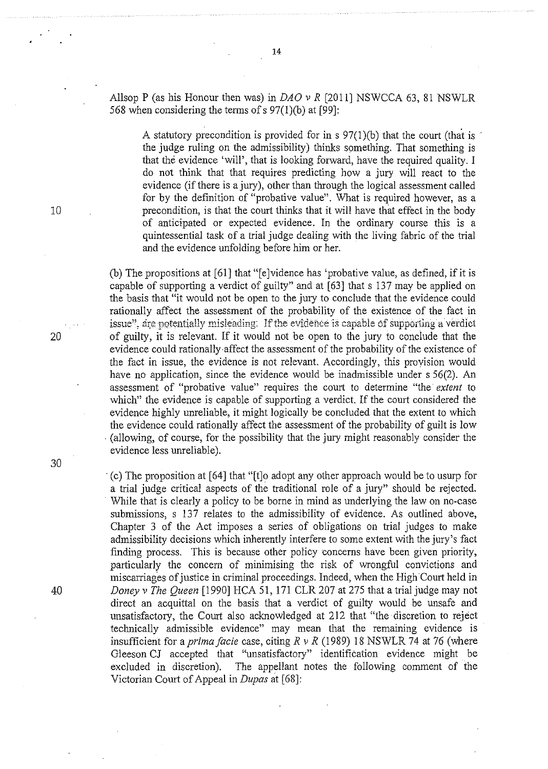AllsopP (as his Honour then was) in *DAO v R* [2011) NSWCCA 63, 81 NSWLR 568 when considering the terms of  $s$  97(1)(b) at [99]:

A statutory precondition is provided for in  $s$  97(1)(b) that the court (that is the judge ruling on the admissibility) thinks something. That something is that the evidence 'will', that is looking forward, have the required quality. I do not think that that requires predicting how a jury will react to the evidence (if there is a jury), other than through the logical assessment called for by the definition of "probative value". What is required however, as a precondition, is that the court thinks that it will have that effect in the body of anticipated or expected evidence. In the ordinary course this is a quintessential task of a trial judge dealing with the living fabric of the trial and the evidence unfolding before him or her.

(b) The propositions at [61) that "[e]vidence has 'probative value, as defined, if it is capable of supporting a verdict of guilty" and at [63] that s 137 may be applied on the basis that "it would not be open to the jury to conclude that the evidence could rationally affect the assessment of the probability of the existence of the fact in issue", are potentially misleading: If the evidence is capable of supporting a verdict 20 of guilty, it is relevant. If it would not be open to the jury to conclude that the evidence could rationally-affect the assessment of the probability of the existence of the fact in issue, the evidence is not relevant. Accordingly, this proyision would have no application, since the evidence would be inadmissible under s 56(2). An assessment of "probative value" requires the court to determine "the *extent* to which" the evidence is capable of supporting a verdict. If the court considered the evidence highly unreliable, it might logically be concluded that the extent to which the evidence could rationally affect the assessment of the probability of guilt is low (allowing, of course, for the possibility that the jury might reasonably consider the evidence less unreliable).

·(c) The proposition at [64) that "[t)o adopt any other approach would be to usurp for a trial judge critical aspects of the traditional role of a jury" should be rejected. While that is clearly a policy to be borne in mind as underlying the law on no-case submissions, s 137 relates to the admissibility of evidence. As outlined above, Chapter 3 of the Act imposes a series of obligations on trial judges to make admissibility decisions which inherently interfere to some extent with the jury's fact finding process. This is because other policy concerns have been given priority, particularly the concern of minimising the risk of wrongful convictions and miscarriages of justice in criminal proceedings. Indeed, when the High Court held in 40 *Doney v The Queen* [1990) HCA 51, 171 CLR 207 at 275 that a trial judge may not direct an acquittal on the basis that a verdict of guilty would be unsafe and unsatisfactory, the Court also acknowledged at 212 that "the discretion to reject technically admissible evidence" may mean that the remaining evidence is insufficient for a *prima facie* case, citing *R v R* (1989) 18 NSWLR 74 at 76 (where Gleeson CJ accepted that "unsatisfactory" identification evidence might be excluded in discretion). The appellant notes the following comment of the Victorian Court of Appeal in *Dupas* at [68]:

10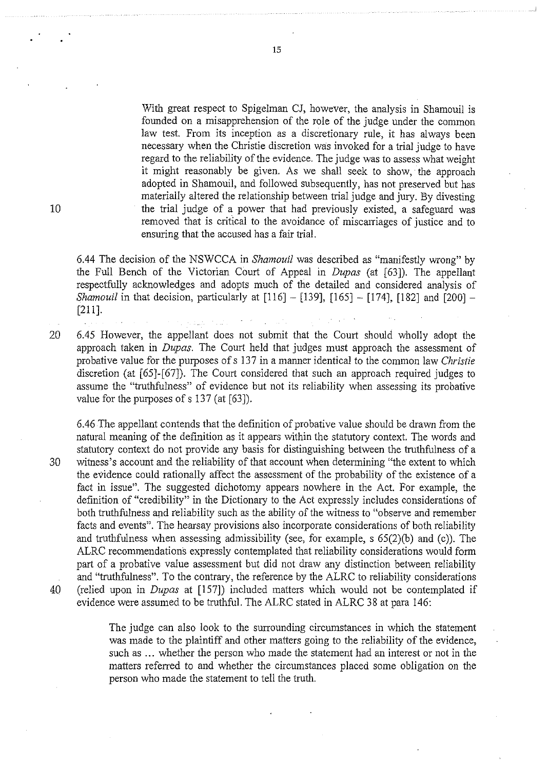With great respect to Spigelman CJ, however, the analysis in Shamouil is founded on a misapprehension of the role of the judge under the common law test. From its inception as a discretionary rule, it has always been necessary when the Christie discretion was invoked for a trial judge to have regard to the reliability of the evidence. The judge was to assess what weight it might reasonably be given. As we shall seek to show, the approach adopted in Shamouil, and followed subsequently, has not preserved but has materially altered the relationship between trial judge and jury. By divesting the trial judge of a power that had previously existed, a safeguard was removed that is critical to the avoidance of miscarriages of justice and to ensuring that the accused has a fair trial.

6.44 The decision of the NSWCCA in *Shamouil* was described as "manifestly wrong" by the Full Bench of the Victorian Court of Appeal in *Dupas* (at [63]). The appellant respectfully acknowledges and adopts much of the detailed and considered analysis of *Shamouil* in that decision, particularly at [116] - [139], [165] - [174], [182] and [200] -[211].

15

20 6.45 However, the appellant does not submit that the Court should wholly adopt the approach taken in *Dupas.* The Court held that judges must approach the assessment of probative value for the purposes of s 137 in a manner identical to the common law *Christie* discretion (at [65]-[67]). The Court considered that such an approach required judges to assume the "truthfulness" of evidence but not its reliability when assessing its probative value for the purposes of s 137 (at [63]).

6.46 The appellant contends that the definition of probative value should be drawn from the natural meaning of the definition as it appears within the statutory context. The words and statutory context do not provide any basis for distinguishing between the truthfulness of a 30 witness's account and the reliability of that account when determining "the extent to which the evidence could rationally affect the assessment of the probability of the existence of a fact in issue". The suggested dichotomy appears nowhere in the Act. For example, the definition of "credibility" in the Dictionary to the Act expressly includes considerations of both truthfulness and reliability such as the ability of the witness to "observe and remember facts and events". The hearsay provisions also incorporate considerations of both reliability and truthfulness when assessing admissibility (see, for example, s 65(2)(b) and (c)). The ALRC recommendations expressly contemplated that reliability considerations would form part of a probative value assessment but did not draw any distinction between reliability and "truthfulness". To the contrary, the reference by the ALRC to reliability considerations 40 (relied upon in *Dupas* at [157]) included matters which would not be contemplated if evidence were assumed to be truthful. The ALRC stated in ALRC 38 at para 146:

> The judge can also look to the surrounding circumstances in which the statement was made to the plaintiff and other matters going to the reliability of the evidence, such as ... whether the person who made the statement had an interest or not in the matters referred to and whether the circumstances placed some obligation on the person who made the statement to tell the truth.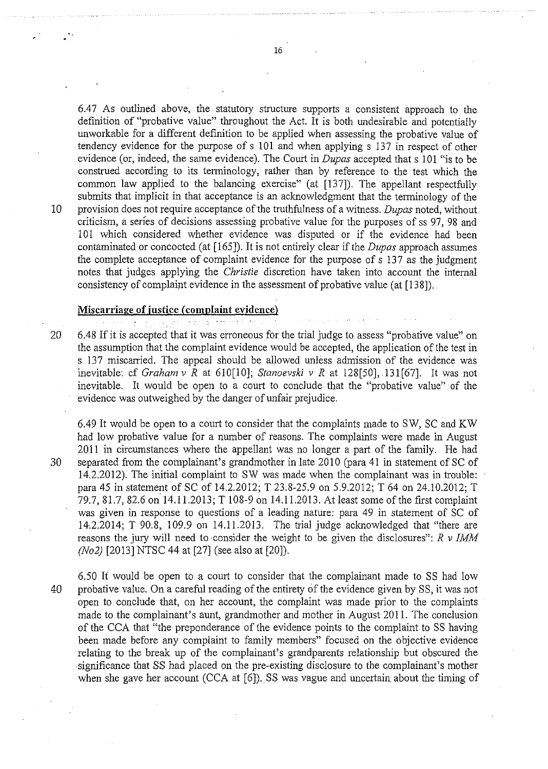6.47 As outlined above, the statutory structure supports a consistent approach to the definition of "probative value" throughout the Act. It is both undesirable and potentially unworkable for a different definition to be applied when assessing the probative value of tendency evidence for the purpose of s 101 and when applying s 137 in respect of other evidence (or, indeed, the same evidence). The Court in *Dupas* accepted that s 101 "is to be construed according to its tenninology, rather than by reference to the test which the common law applied to the balancing exercise" (at [137]). The appellant respectfully submits that implicit in that acceptance is an acknowledgment that the terminology of the 10 provision does not require acceptance of the truthfulness of a witness. *Dupas* noted, without criticism, a serfes of decisions assessing probative value for the purposes of ss 97, 98 and 101 which considered whether evidence was disputed or if the evidence had been contaminated or concocted (at [165]). It is not entirely clear if the *Dupas* approach assumes the complete acceptance of complaint evidence for the purpose of s 137 as the judgment notes that judges applying the *Christie* discretion have taken into account the internal consistency of complaint evidence in the assessment of probative value (at [138]).

## **Miscarriage of justice (complaint evidence)**

عرضان والوالي

20 6.48 If it is accepted that it was erroneous for the trial judge to assess "probative value" on the assumption that the complaint evidence would be accepted, the application of the test in s 137 miscarried. The appeal should be allowed unless admission of the evidence was inevitable: cf *Graham v R* at 610[10]; *Stanoevski v R* at 128[50], 131[67]. It was not inevitable. It would be open to a court to conclude that the "probative value" of the evidence was outweighed by the danger of unfair prejudice.

6.49 It would be open to a court to consider that the complaints made to SW, SC and KW had low probative value for a number of reasons. The complaints were made in August 2011 in circumstances where the appellant was no longer a part of the family. He had 30 separated from the complainant's grandmother in late 2010 (para 41 in statement of SC of 14.2.2012). The initial complaint to SW was made when the complainant was in trouble: para 45 in statement of SC of 14.2.2012; T 23.8-25.9 on 5.9.2012; T 64 on 24.10.2012; T 79.7, 81.7, 82.6 on 14. 11.2013; T 108-9 on 14.11.2013. At least some of the first complaint was given in response to questions of a leading nature: para 49 in statement of SC of 14·.2.2014; T 90.8, 109.9 on 14.11.2013. The trial judge acknowledged that "there are reasons the jury will need to ·consider the weight to be given the disclosures": *R v IMM (No2)* [2013] NTSC 44 at [27] (see also at [20]).

. '

6.50 It would be open to a court to consider that the complainant made to SS had low 40 probative value. On a careful reading of the entirety of the evidence given by SS, it was not open to conclude that, on her account, the complaint was made prior to the complaints made to the complainant's aunt, grandmother and mother in August 2011. The conclusion of the CCA that "the preponderance of the evidence points to the complaint to SS having been made before any complaint to family members" focused on the objective evidence relating to the break up of the complainant's grandparents relationship but obscured the .significance that SS had placed on the pre-existing disclosure to the complainant's mother when she gave her account (CCA at  $[6]$ ). SS was vague and uncertain about the timing of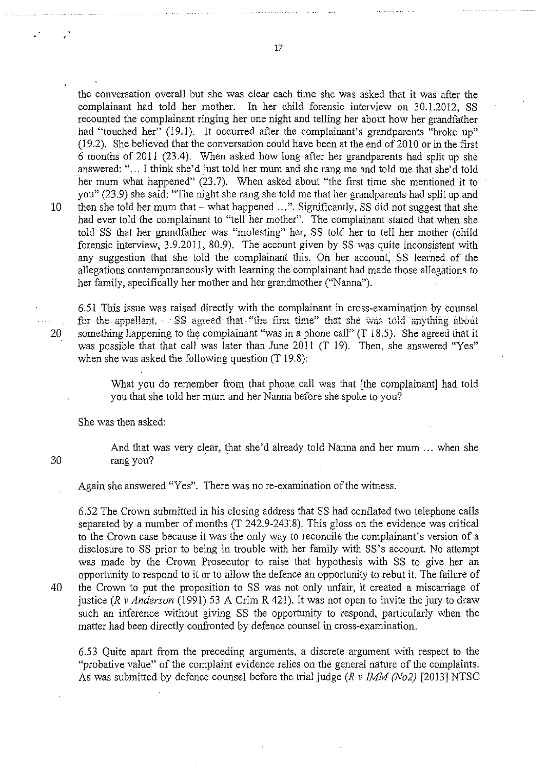the conversation overall but she was clear each time she was asked that it was after the complainant had told her mother. In her child forensic interview on 30.1.2012, SS recounted the complainant ringing her one night and telling her about how her grandfather had "touched her" (19.1). It occurred after the complainant's grandparents "broke up" (19.2). She believed that the conversation could have been at the end of  $2010$  or in the first 6 months of 2011 (23.4). When asked how long after her grandparents had split up she answered: " ... I think she'd just told her mum and she rang me and told me that she'd told her mum what happened" (23.7). When asked about "the first time she mentioned it to you" (23.9) she said: "The night she rang she told me that her grandparents had split up and 10 then she told her mum that – what happened ...". Significantly, SS did not suggest that she had ever told the complainant to "tell her mother". The complainant stated that when she told SS that her grandfather was "molesting" her, SS told her to tell her mother (child forensic interview, 3.9.2011, 80.9). The account given by SS was quite inconsistent with any suggestion that she told the complainant this. On her account; SS learned of the allegations contemporaneously with learning the complainant had made those allegations to her family, specifically her mother and her grandmother ("Nanna").

6.51 This issue was raised directly with the complainant in cross-examination by counsel for the appellant, SS agreed that "the first time" that she was told anything about 20 something happening to the complainant "was in a phone call" (T 18.5). She agreed that it was possible that that call was later than June 2011 (T 19). Then, she answered "Yes" when she was asked the following question (T 19.8):

> What you do remember from that phone call was that [the complainant] had told you that she told her mum and her Nanna before she spoke to you?

She was then asked:

And that was very clear, that she'd already told Nanna and her mum ... when she 30 rang you?

Again she answered "Yes". There was no re-examination of the witness.

6.52 The Crown submitted in his closing address that SS had conflated two telephone calls separated by a number of months (T 242.9-243.8). This gloss on the evidence was critical to the Crown case because it was the only way to reconcile the complainant's version of a disclosure to SS prior to being in trouble with her family with SS's account. No attempt was made by the Crown Prosecutor to raise that hypothesis with SS to give her an opportunity to respond to it or to allow the defence an opportunity to rebut it. The failure of 40 the Crown to put the proposition to SS was not only unfair, it created a miscarriage of justice *(R v Anderson* (1991) 53 A Crim R 421). It was not open to invite the jury to draw such an inference without giving SS the opportunity to respond, particularly when the matter had been directly confronted by defence counsel in cross-examination.

6.53 Quite apart from the preceding arguments, a discrete argument with respect to the "probative value" of the complaint evidence relies on the general nature of the complaints. As was submitted by defence counsel before the trial judge *(R v IMM (No2)* [2013] NTSC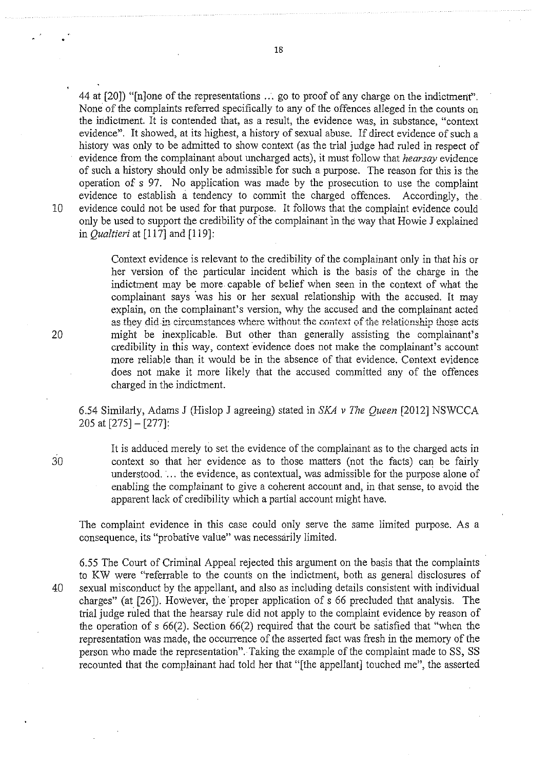44 at [20]) "[n]one of the representations ... go to proof of any charge on the indictment". None of the complaints referred specifically to any of the offences alleged in the counts on the indictment. It is contended that, as a result, the evidence was, in substance, "context evidence". It showed, at its highest, a history of sexual abuse. If direct evidence of such a history was only to be admitted to show context (as the trial judge had ruled in respect of evidence from the complainant about uncharged acts), it must follow that *hearsay* evidence of such a history should only be admissible for such a purpose. The reason for this is the operation of s 97. No application was made by the prosecution to use the complaint evidence to establish a tendency to commit the charged offences. Accordingly, the. 10 evidence could not be used for that purpose. It follows that the complaint evidence could only be used to support the credibility of the complainant in the way that Howie J explained in *Qualtieri* at [117] and [119]:

> Context evidence is relevant to the credibility of the complainant only in that his or her version of the particular incident which is the basis of the charge in the indictment may be more capable of belief when seen in the context of what the complainant says 'was his or her sexual relationship with the accused. It may explain, on the complainant's version, why the accused and the complainant acted as they did in circumstances where without the context of the relationship those acts might be inexplicable. But other than generally assisting the complainant's credibility in this way, context evidence does not make the complainant's account more reliable than it would be in the absence of that evidence. Context evidence does not make it more likely that the accused committed any of the offences charged in the indictment.

6.54 Similarly, Adams J (Hislop J agreeing) stated in *SKA v The Queen* [2012] NSWCCA 205 at [275]- [277]:

It is adduced merely to set the evidence of the complainant as to the charged acts in context so that her evidence as to those matters (not the facts) can be fairly understood. ... the evidence, as contextual, was admissible for the purpose alone of enabling the complainant to give a coherent account and, in that sense, to avoid the apparent lack of credibility which a partial account might have.

The complaint evidence in this case could only serve the same limited purpose. As a consequence, its "probative value" was necessarily limited.

6.55 The Court of Criminal Appeal rejected this argument on the basis that the complaints to KW were "referrable to the counts on the indictment, both as general disclosures of 40 sexual misconduct by the appellant, and also as including details consistent with individual charges" (at [26]). However, the 'proper application of s 66 precluded that analysis. The trial judge ruled that the hearsay rule did not apply to the complaint evidence by reason of the operation of s 66(2). Section 66(2) required that the court be satisfied that "when the representation was made, the occurrence of the asserted fact was fresh in the memory of the person who made the representation". Taking the example of the complaint made to SS, SS recounted that the complainant had told her that "[the appellant] touched me", the asserted

20

30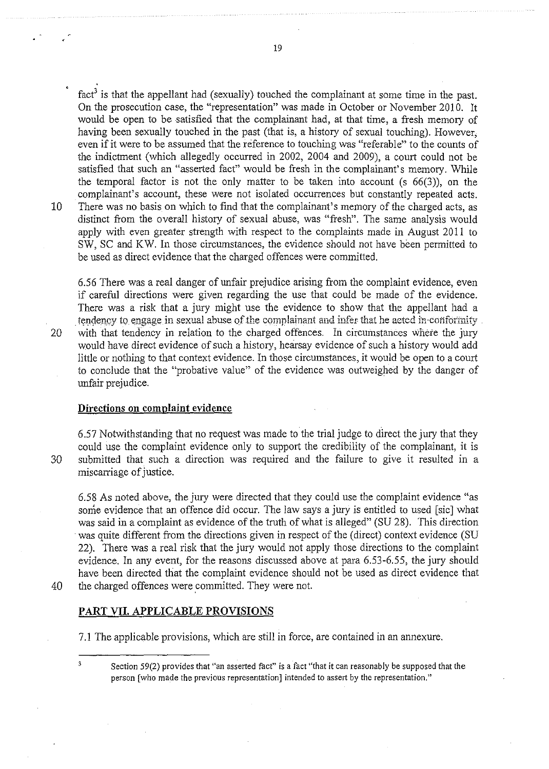fact<sup>3</sup> is that the appellant had (sexually) touched the complainant at some time in the past. On the prosecution case, the "representation" was made in October or November 2010. It would be open to be satisfied that the complainant had, at that time, a fresh memory of having been sexually touched in the past (that is, a history of sexual touching). However, even if it were to be assumed that the reference to touching was "referable" to the counts of the indictment (which allegedly occurred in 2002, 2004 and 2009), a court could not be satisfied that such an "asserted fact" would be fresh in the complainant's memory. While the temporal factor is not the only matter to be taken into account (s 66(3)), on the complainant's account, these were not isolated occurrences but constantly repeated acts. 10 There was no basis on which to find that the complainant's memory of the charged acts, as distinct from the overall history of sexual abuse, was "fresh". The same analysis would apply with even greater strength with respect to the complaints made in August 2011 to SW, SC and KW. In those circumstances, the evidence should not have been permitted to be used as direct evidence that the charged offences were committed.

6.56 There was a real danger of unfair prejudice arising from the complaint evidence, even if careful directions were given regarding the use that could be made of the evidence. There was a risk that a jury might use the evidence to show that the appellant had a tendency to engage in sexual abuse of the complainant and infer that he aeted in-conformity 20 with that tendency in relation to the charged offences. In circumstances where the jury would have direct evidence of such a history, hearsay evidence of such a history would add little or nothing to that context evidence. In those circumstances, it would be open to a court to conclude that the "probative value" of the evidence was outweighed by the danger of unfair prejudice.

### **Directions on complaint evidence**

6.57 Notwithstanding that no request was made to the trial judge to direct the jury that they could use the complaint evidence only to support the credibility of the complainant, it is 30 submitted that such a direction was required and the failure to give it resulted in a miscarriage of justice.

6.58 As noted above, the jury were directed that they could use the complaint evidence "as some evidence that an offence did occur. The law says a jury is entitled to used [sic) what was said in a complaint as evidence of the truth of what is alleged" (SU 28). This direction was quite different from the directions given in respect of the (direct) context evidence (SU 22). There was a real risk that the jury would not apply those directions to the complaint evidence. In any event, for the reasons discussed above at para 6.53-6.55, the jury should have been directed that the complaint evidence should not be used as direct evidence that 40 the charged offences were eommitted. They were not.

 $\overline{\mathbf{3}}$ 

# **PART VII. APPLICABLE PROVISIONS**

7.1 The applicable provisions, which are still in force, are contained in an annexure.

Section 59(2) provides that "an asserted fact" is a fact "that it can reasonably be supposed that the person [who made the previous representation] intended to assert by the representation."